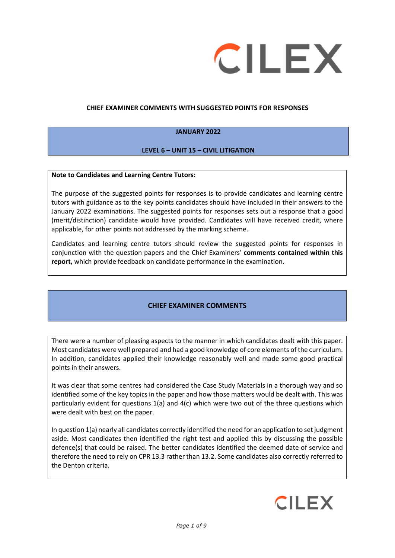

#### **CHIEF EXAMINER COMMENTS WITH SUGGESTED POINTS FOR RESPONSES**

#### **JANUARY 2022**

#### **LEVEL 6 – UNIT 15 – CIVIL LITIGATION**

#### **Note to Candidates and Learning Centre Tutors:**

The purpose of the suggested points for responses is to provide candidates and learning centre tutors with guidance as to the key points candidates should have included in their answers to the January 2022 examinations. The suggested points for responses sets out a response that a good (merit/distinction) candidate would have provided. Candidates will have received credit, where applicable, for other points not addressed by the marking scheme.

Candidates and learning centre tutors should review the suggested points for responses in conjunction with the question papers and the Chief Examiners' **comments contained within this report,** which provide feedback on candidate performance in the examination.

### **CHIEF EXAMINER COMMENTS**

There were a number of pleasing aspects to the manner in which candidates dealt with this paper. Most candidates were well prepared and had a good knowledge of core elements of the curriculum. In addition, candidates applied their knowledge reasonably well and made some good practical points in their answers.

It was clear that some centres had considered the Case Study Materials in a thorough way and so identified some of the key topics in the paper and how those matters would be dealt with. This was particularly evident for questions 1(a) and 4(c) which were two out of the three questions which were dealt with best on the paper.

In question 1(a) nearly all candidates correctly identified the need for an application to set judgment aside. Most candidates then identified the right test and applied this by discussing the possible defence(s) that could be raised. The better candidates identified the deemed date of service and therefore the need to rely on CPR 13.3 rather than 13.2. Some candidates also correctly referred to the Denton criteria.

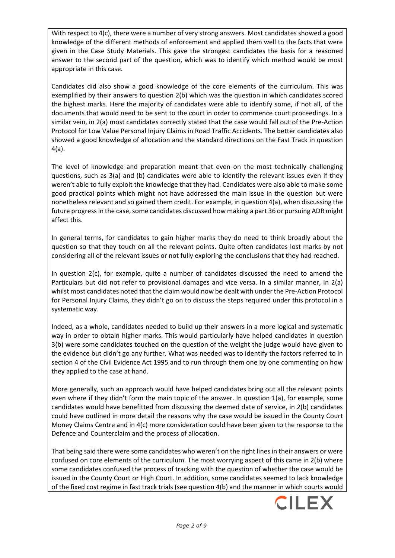With respect to 4(c), there were a number of very strong answers. Most candidates showed a good knowledge of the different methods of enforcement and applied them well to the facts that were given in the Case Study Materials. This gave the strongest candidates the basis for a reasoned answer to the second part of the question, which was to identify which method would be most appropriate in this case.

Candidates did also show a good knowledge of the core elements of the curriculum. This was exemplified by their answers to question 2(b) which was the question in which candidates scored the highest marks. Here the majority of candidates were able to identify some, if not all, of the documents that would need to be sent to the court in order to commence court proceedings. In a similar vein, in 2(a) most candidates correctly stated that the case would fall out of the Pre-Action Protocol for Low Value Personal Injury Claims in Road Traffic Accidents. The better candidates also showed a good knowledge of allocation and the standard directions on the Fast Track in question 4(a).

The level of knowledge and preparation meant that even on the most technically challenging questions, such as 3(a) and (b) candidates were able to identify the relevant issues even if they weren't able to fully exploit the knowledge that they had. Candidates were also able to make some good practical points which might not have addressed the main issue in the question but were nonetheless relevant and so gained them credit. For example, in question 4(a), when discussing the future progress in the case, some candidates discussed how making a part 36 or pursuing ADR might affect this.

In general terms, for candidates to gain higher marks they do need to think broadly about the question so that they touch on all the relevant points. Quite often candidates lost marks by not considering all of the relevant issues or not fully exploring the conclusions that they had reached.

In question 2(c), for example, quite a number of candidates discussed the need to amend the Particulars but did not refer to provisional damages and vice versa. In a similar manner, in 2(a) whilst most candidates noted that the claim would now be dealt with under the Pre-Action Protocol for Personal Injury Claims, they didn't go on to discuss the steps required under this protocol in a systematic way.

Indeed, as a whole, candidates needed to build up their answers in a more logical and systematic way in order to obtain higher marks. This would particularly have helped candidates in question 3(b) were some candidates touched on the question of the weight the judge would have given to the evidence but didn't go any further. What was needed was to identify the factors referred to in section 4 of the Civil Evidence Act 1995 and to run through them one by one commenting on how they applied to the case at hand.

More generally, such an approach would have helped candidates bring out all the relevant points even where if they didn't form the main topic of the answer. In question 1(a), for example, some candidates would have benefitted from discussing the deemed date of service, in 2(b) candidates could have outlined in more detail the reasons why the case would be issued in the County Court Money Claims Centre and in 4(c) more consideration could have been given to the response to the Defence and Counterclaim and the process of allocation.

That being said there were some candidates who weren't on the right lines in their answers or were confused on core elements of the curriculum. The most worrying aspect of this came in 2(b) where some candidates confused the process of tracking with the question of whether the case would be issued in the County Court or High Court. In addition, some candidates seemed to lack knowledge of the fixed cost regime in fast track trials (see question 4(b) and the manner in which courts would

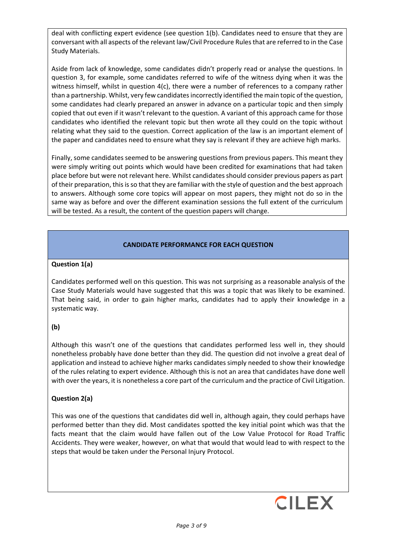deal with conflicting expert evidence (see question 1(b). Candidates need to ensure that they are conversant with all aspects of the relevant law/Civil Procedure Rules that are referred to in the Case Study Materials.

Aside from lack of knowledge, some candidates didn't properly read or analyse the questions. In question 3, for example, some candidates referred to wife of the witness dying when it was the witness himself, whilst in question 4(c), there were a number of references to a company rather than a partnership. Whilst, very few candidates incorrectly identified the main topic of the question, some candidates had clearly prepared an answer in advance on a particular topic and then simply copied that out even if it wasn't relevant to the question. A variant of this approach came for those candidates who identified the relevant topic but then wrote all they could on the topic without relating what they said to the question. Correct application of the law is an important element of the paper and candidates need to ensure what they say is relevant if they are achieve high marks.

Finally, some candidates seemed to be answering questions from previous papers. This meant they were simply writing out points which would have been credited for examinations that had taken place before but were not relevant here. Whilst candidates should consider previous papers as part of their preparation, this is so that they are familiar with the style of question and the best approach to answers. Although some core topics will appear on most papers, they might not do so in the same way as before and over the different examination sessions the full extent of the curriculum will be tested. As a result, the content of the question papers will change.

## **CANDIDATE PERFORMANCE FOR EACH QUESTION**

### **Question 1(a)**

Candidates performed well on this question. This was not surprising as a reasonable analysis of the Case Study Materials would have suggested that this was a topic that was likely to be examined. That being said, in order to gain higher marks, candidates had to apply their knowledge in a systematic way.

### **(b)**

Although this wasn't one of the questions that candidates performed less well in, they should nonetheless probably have done better than they did. The question did not involve a great deal of application and instead to achieve higher marks candidates simply needed to show their knowledge of the rules relating to expert evidence. Although this is not an area that candidates have done well with over the years, it is nonetheless a core part of the curriculum and the practice of Civil Litigation.

### **Question 2(a)**

This was one of the questions that candidates did well in, although again, they could perhaps have performed better than they did. Most candidates spotted the key initial point which was that the facts meant that the claim would have fallen out of the Low Value Protocol for Road Traffic Accidents. They were weaker, however, on what that would that would lead to with respect to the steps that would be taken under the Personal Injury Protocol.

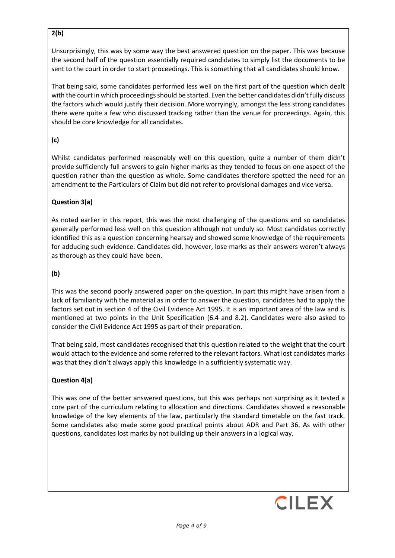## **2(b)**

Unsurprisingly, this was by some way the best answered question on the paper. This was because the second half of the question essentially required candidates to simply list the documents to be sent to the court in order to start proceedings. This is something that all candidates should know.

That being said, some candidates performed less well on the first part of the question which dealt with the court in which proceedings should be started. Even the better candidates didn't fully discuss the factors which would justify their decision. More worryingly, amongst the less strong candidates there were quite a few who discussed tracking rather than the venue for proceedings. Again, this should be core knowledge for all candidates.

## **(c)**

Whilst candidates performed reasonably well on this question, quite a number of them didn't provide sufficiently full answers to gain higher marks as they tended to focus on one aspect of the question rather than the question as whole. Some candidates therefore spotted the need for an amendment to the Particulars of Claim but did not refer to provisional damages and vice versa.

## **Question 3(a)**

As noted earlier in this report, this was the most challenging of the questions and so candidates generally performed less well on this question although not unduly so. Most candidates correctly identified this as a question concerning hearsay and showed some knowledge of the requirements for adducing such evidence. Candidates did, however, lose marks as their answers weren't always as thorough as they could have been.

## **(b)**

This was the second poorly answered paper on the question. In part this might have arisen from a lack of familiarity with the material as in order to answer the question, candidates had to apply the factors set out in section 4 of the Civil Evidence Act 1995. It is an important area of the law and is mentioned at two points in the Unit Specification (6.4 and 8.2). Candidates were also asked to consider the Civil Evidence Act 1995 as part of their preparation.

That being said, most candidates recognised that this question related to the weight that the court would attach to the evidence and some referred to the relevant factors. What lost candidates marks was that they didn't always apply this knowledge in a sufficiently systematic way.

# **Question 4(a)**

This was one of the better answered questions, but this was perhaps not surprising as it tested a core part of the curriculum relating to allocation and directions. Candidates showed a reasonable knowledge of the key elements of the law, particularly the standard timetable on the fast track. Some candidates also made some good practical points about ADR and Part 36. As with other questions, candidates lost marks by not building up their answers in a logical way.

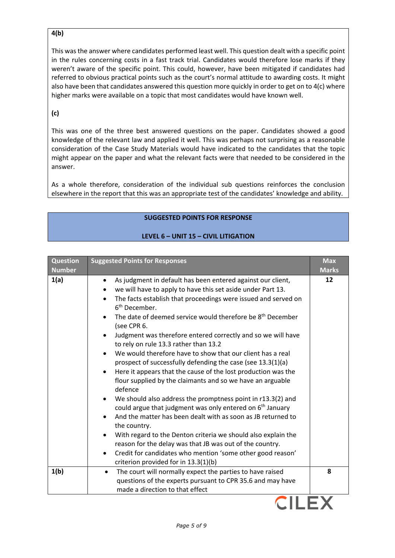## **4(b)**

This was the answer where candidates performed least well. This question dealt with a specific point in the rules concerning costs in a fast track trial. Candidates would therefore lose marks if they weren't aware of the specific point. This could, however, have been mitigated if candidates had referred to obvious practical points such as the court's normal attitude to awarding costs. It might also have been that candidates answered this question more quickly in order to get on to 4(c) where higher marks were available on a topic that most candidates would have known well.

## **(c)**

This was one of the three best answered questions on the paper. Candidates showed a good knowledge of the relevant law and applied it well. This was perhaps not surprising as a reasonable consideration of the Case Study Materials would have indicated to the candidates that the topic might appear on the paper and what the relevant facts were that needed to be considered in the answer.

As a whole therefore, consideration of the individual sub questions reinforces the conclusion elsewhere in the report that this was an appropriate test of the candidates' knowledge and ability.

#### **SUGGESTED POINTS FOR RESPONSE**

### **LEVEL 6 – UNIT 15 – CIVIL LITIGATION**

| <b>Question</b><br><b>Number</b> | <b>Suggested Points for Responses</b>                                                                                                                                                                                                                                                                                                                                                                                                                                                                                                                                                                                                                                                                                                                                                                                                                                                                                                                                                                                                                                                                                                                                                                             | <b>Max</b><br><b>Marks</b> |
|----------------------------------|-------------------------------------------------------------------------------------------------------------------------------------------------------------------------------------------------------------------------------------------------------------------------------------------------------------------------------------------------------------------------------------------------------------------------------------------------------------------------------------------------------------------------------------------------------------------------------------------------------------------------------------------------------------------------------------------------------------------------------------------------------------------------------------------------------------------------------------------------------------------------------------------------------------------------------------------------------------------------------------------------------------------------------------------------------------------------------------------------------------------------------------------------------------------------------------------------------------------|----------------------------|
| 1(a)                             | As judgment in default has been entered against our client,<br>$\bullet$<br>we will have to apply to have this set aside under Part 13.<br>The facts establish that proceedings were issued and served on<br>6 <sup>th</sup> December.<br>The date of deemed service would therefore be 8 <sup>th</sup> December<br>(see CPR 6.<br>Judgment was therefore entered correctly and so we will have<br>to rely on rule 13.3 rather than 13.2<br>We would therefore have to show that our client has a real<br>prospect of successfully defending the case (see 13.3(1)(a)<br>Here it appears that the cause of the lost production was the<br>flour supplied by the claimants and so we have an arguable<br>defence<br>We should also address the promptness point in r13.3(2) and<br>$\bullet$<br>could argue that judgment was only entered on 6 <sup>th</sup> January<br>And the matter has been dealt with as soon as JB returned to<br>the country.<br>With regard to the Denton criteria we should also explain the<br>$\bullet$<br>reason for the delay was that JB was out of the country.<br>Credit for candidates who mention 'some other good reason'<br>$\bullet$<br>criterion provided for in 13.3(1)(b) | 12                         |
| 1(b)                             | The court will normally expect the parties to have raised<br>$\bullet$<br>questions of the experts pursuant to CPR 35.6 and may have<br>made a direction to that effect                                                                                                                                                                                                                                                                                                                                                                                                                                                                                                                                                                                                                                                                                                                                                                                                                                                                                                                                                                                                                                           | 8                          |

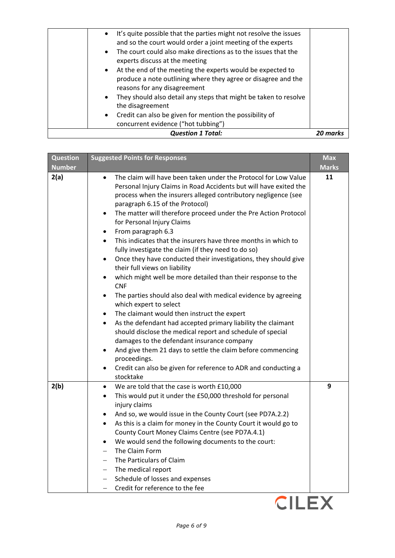| <b>Question 1 Total:</b>                                                       | 20 mark: |
|--------------------------------------------------------------------------------|----------|
| concurrent evidence ("hot tubbing")                                            |          |
| Credit can also be given for mention the possibility of<br>$\bullet$           |          |
| the disagreement                                                               |          |
| They should also detail any steps that might be taken to resolve<br>$\bullet$  |          |
| reasons for any disagreement                                                   |          |
| produce a note outlining where they agree or disagree and the                  |          |
| • At the end of the meeting the experts would be expected to                   |          |
| experts discuss at the meeting                                                 |          |
| The court could also make directions as to the issues that the<br>$\bullet$    |          |
| and so the court would order a joint meeting of the experts                    |          |
| It's quite possible that the parties might not resolve the issues<br>$\bullet$ |          |

| <b>Question</b> | <b>Suggested Points for Responses</b>                                                                                                                                                                                                                                                                                                                                                                                                                                                                                                                                                                                                                                                                                                                                                                                                                                                                                                                                                                                                                                                                                                                                                                                                                                    | <b>Max</b>   |
|-----------------|--------------------------------------------------------------------------------------------------------------------------------------------------------------------------------------------------------------------------------------------------------------------------------------------------------------------------------------------------------------------------------------------------------------------------------------------------------------------------------------------------------------------------------------------------------------------------------------------------------------------------------------------------------------------------------------------------------------------------------------------------------------------------------------------------------------------------------------------------------------------------------------------------------------------------------------------------------------------------------------------------------------------------------------------------------------------------------------------------------------------------------------------------------------------------------------------------------------------------------------------------------------------------|--------------|
| <b>Number</b>   |                                                                                                                                                                                                                                                                                                                                                                                                                                                                                                                                                                                                                                                                                                                                                                                                                                                                                                                                                                                                                                                                                                                                                                                                                                                                          | <b>Marks</b> |
| 2(a)            | The claim will have been taken under the Protocol for Low Value<br>$\bullet$<br>Personal Injury Claims in Road Accidents but will have exited the<br>process when the insurers alleged contributory negligence (see<br>paragraph 6.15 of the Protocol)<br>The matter will therefore proceed under the Pre Action Protocol<br>$\bullet$<br>for Personal Injury Claims<br>From paragraph 6.3<br>$\bullet$<br>This indicates that the insurers have three months in which to<br>$\bullet$<br>fully investigate the claim (if they need to do so)<br>Once they have conducted their investigations, they should give<br>$\bullet$<br>their full views on liability<br>which might well be more detailed than their response to the<br>$\bullet$<br><b>CNF</b><br>The parties should also deal with medical evidence by agreeing<br>$\bullet$<br>which expert to select<br>The claimant would then instruct the expert<br>As the defendant had accepted primary liability the claimant<br>should disclose the medical report and schedule of special<br>damages to the defendant insurance company<br>And give them 21 days to settle the claim before commencing<br>$\bullet$<br>proceedings.<br>Credit can also be given for reference to ADR and conducting a<br>stocktake | 11           |
| 2(b)            | We are told that the case is worth £10,000<br>$\bullet$<br>This would put it under the £50,000 threshold for personal<br>$\bullet$<br>injury claims<br>And so, we would issue in the County Court (see PD7A.2.2)<br>٠<br>As this is a claim for money in the County Court it would go to<br>$\bullet$<br>County Court Money Claims Centre (see PD7A.4.1)<br>We would send the following documents to the court:<br>$\bullet$<br>The Claim Form<br>The Particulars of Claim<br>The medical report<br>Schedule of losses and expenses<br>$\qquad \qquad -$<br>Credit for reference to the fee<br>$\overline{\phantom{0}}$                                                                                                                                                                                                                                                                                                                                                                                                                                                                                                                                                                                                                                                  | 9            |

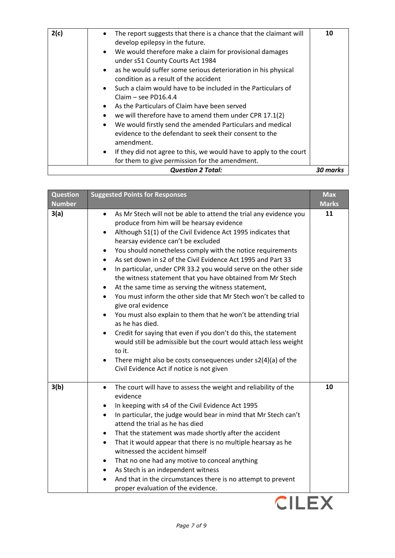| 2(c) | The report suggests that there is a chance that the claimant will<br>$\bullet$<br>develop epilepsy in the future.<br>We would therefore make a claim for provisional damages<br>$\bullet$<br>under s51 County Courts Act 1984<br>as he would suffer some serious deterioration in his physical<br>$\bullet$<br>condition as a result of the accident<br>Such a claim would have to be included in the Particulars of<br>$\bullet$<br>Claim $-$ see PD16.4.4<br>As the Particulars of Claim have been served<br>$\bullet$<br>we will therefore have to amend them under CPR 17.1(2)<br>$\bullet$<br>We would firstly send the amended Particulars and medical<br>$\bullet$<br>evidence to the defendant to seek their consent to the<br>amendment.<br>If they did not agree to this, we would have to apply to the court<br>$\bullet$<br>for them to give permission for the amendment. | 10       |
|------|----------------------------------------------------------------------------------------------------------------------------------------------------------------------------------------------------------------------------------------------------------------------------------------------------------------------------------------------------------------------------------------------------------------------------------------------------------------------------------------------------------------------------------------------------------------------------------------------------------------------------------------------------------------------------------------------------------------------------------------------------------------------------------------------------------------------------------------------------------------------------------------|----------|
|      | <b>Question 2 Total:</b>                                                                                                                                                                                                                                                                                                                                                                                                                                                                                                                                                                                                                                                                                                                                                                                                                                                               | 30 marks |

| <b>Question</b><br><b>Number</b> | <b>Suggested Points for Responses</b>                                                                                                                                                                                                                                                                                                                                                                                                                                                                                                                                                                                                                                                                                                                                                                                                                                                                                                                                                                                | <b>Max</b><br><b>Marks</b> |
|----------------------------------|----------------------------------------------------------------------------------------------------------------------------------------------------------------------------------------------------------------------------------------------------------------------------------------------------------------------------------------------------------------------------------------------------------------------------------------------------------------------------------------------------------------------------------------------------------------------------------------------------------------------------------------------------------------------------------------------------------------------------------------------------------------------------------------------------------------------------------------------------------------------------------------------------------------------------------------------------------------------------------------------------------------------|----------------------------|
| 3(a)                             | As Mr Stech will not be able to attend the trial any evidence you<br>$\bullet$<br>produce from him will be hearsay evidence<br>Although S1(1) of the Civil Evidence Act 1995 indicates that<br>hearsay evidence can't be excluded<br>You should nonetheless comply with the notice requirements<br>As set down in s2 of the Civil Evidence Act 1995 and Part 33<br>In particular, under CPR 33.2 you would serve on the other side<br>$\bullet$<br>the witness statement that you have obtained from Mr Stech<br>At the same time as serving the witness statement,<br>٠<br>You must inform the other side that Mr Stech won't be called to<br>give oral evidence<br>You must also explain to them that he won't be attending trial<br>as he has died.<br>Credit for saying that even if you don't do this, the statement<br>would still be admissible but the court would attach less weight<br>to it.<br>There might also be costs consequences under s2(4)(a) of the<br>Civil Evidence Act if notice is not given | 11                         |
| 3(b)                             | The court will have to assess the weight and reliability of the<br>$\bullet$<br>evidence<br>In keeping with s4 of the Civil Evidence Act 1995<br>In particular, the judge would bear in mind that Mr Stech can't<br>attend the trial as he has died<br>That the statement was made shortly after the accident<br>That it would appear that there is no multiple hearsay as he<br>$\bullet$<br>witnessed the accident himself<br>That no one had any motive to conceal anything<br>٠<br>As Stech is an independent witness<br>And that in the circumstances there is no attempt to prevent<br>proper evaluation of the evidence.                                                                                                                                                                                                                                                                                                                                                                                      | 10                         |

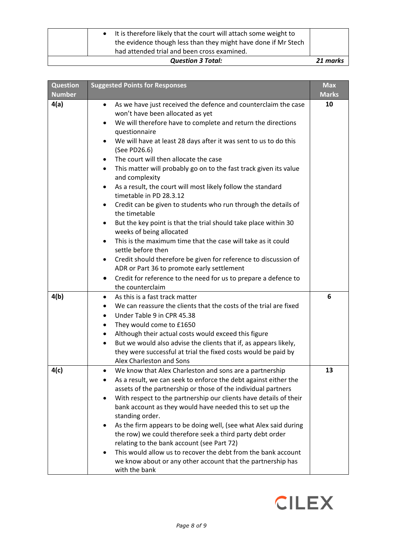| It is therefore likely that the court will attach some weight to<br>the evidence though less than they might have done if Mr Stech<br>had attended trial and been cross examined. |          |
|-----------------------------------------------------------------------------------------------------------------------------------------------------------------------------------|----------|
|                                                                                                                                                                                   |          |
| <b>Question 3 Total:</b>                                                                                                                                                          | 21 marks |

| <b>Question</b> | <b>Suggested Points for Responses</b>                                                                                            | <b>Max</b>   |
|-----------------|----------------------------------------------------------------------------------------------------------------------------------|--------------|
| <b>Number</b>   |                                                                                                                                  | <b>Marks</b> |
| 4(a)            | As we have just received the defence and counterclaim the case<br>$\bullet$                                                      | 10           |
|                 | won't have been allocated as yet<br>We will therefore have to complete and return the directions<br>$\bullet$                    |              |
|                 | questionnaire                                                                                                                    |              |
|                 | We will have at least 28 days after it was sent to us to do this                                                                 |              |
|                 | (See PD26.6)                                                                                                                     |              |
|                 | The court will then allocate the case                                                                                            |              |
|                 | This matter will probably go on to the fast track given its value                                                                |              |
|                 | and complexity                                                                                                                   |              |
|                 | As a result, the court will most likely follow the standard<br>$\bullet$                                                         |              |
|                 | timetable in PD 28.3.12                                                                                                          |              |
|                 | Credit can be given to students who run through the details of                                                                   |              |
|                 | the timetable                                                                                                                    |              |
|                 | But the key point is that the trial should take place within 30<br>$\bullet$<br>weeks of being allocated                         |              |
|                 | This is the maximum time that the case will take as it could<br>$\bullet$                                                        |              |
|                 | settle before then                                                                                                               |              |
|                 | Credit should therefore be given for reference to discussion of                                                                  |              |
|                 | ADR or Part 36 to promote early settlement                                                                                       |              |
|                 | Credit for reference to the need for us to prepare a defence to<br>$\bullet$                                                     |              |
|                 | the counterclaim                                                                                                                 |              |
| 4(b)            | As this is a fast track matter<br>$\bullet$                                                                                      | 6            |
|                 | We can reassure the clients that the costs of the trial are fixed<br>٠                                                           |              |
|                 | Under Table 9 in CPR 45.38<br>$\bullet$                                                                                          |              |
|                 | They would come to £1650<br>٠                                                                                                    |              |
|                 | Although their actual costs would exceed this figure<br>٠                                                                        |              |
|                 | But we would also advise the clients that if, as appears likely,                                                                 |              |
|                 | they were successful at trial the fixed costs would be paid by<br>Alex Charleston and Sons                                       |              |
| 4(c)            |                                                                                                                                  | 13           |
|                 | We know that Alex Charleston and sons are a partnership<br>$\bullet$                                                             |              |
|                 | As a result, we can seek to enforce the debt against either the<br>assets of the partnership or those of the individual partners |              |
|                 | With respect to the partnership our clients have details of their                                                                |              |
|                 | bank account as they would have needed this to set up the                                                                        |              |
|                 | standing order.                                                                                                                  |              |
|                 | As the firm appears to be doing well, (see what Alex said during                                                                 |              |
|                 | the row) we could therefore seek a third party debt order                                                                        |              |
|                 | relating to the bank account (see Part 72)                                                                                       |              |
|                 | This would allow us to recover the debt from the bank account                                                                    |              |
|                 | we know about or any other account that the partnership has                                                                      |              |
|                 | with the bank                                                                                                                    |              |